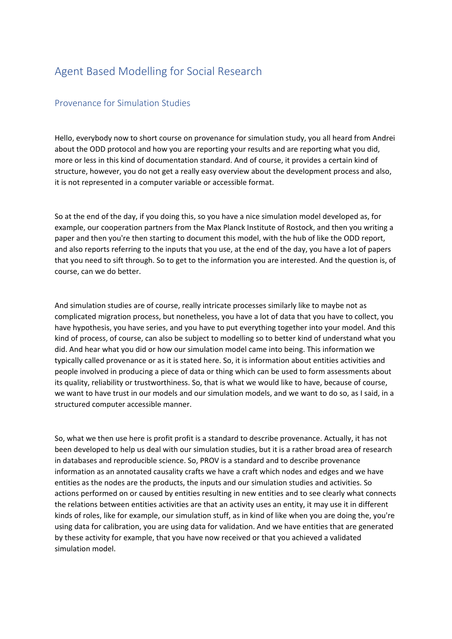## Agent Based Modelling for Social Research

## Provenance for Simulation Studies

Hello, everybody now to short course on provenance for simulation study, you all heard from Andrei about the ODD protocol and how you are reporting your results and are reporting what you did, more or less in this kind of documentation standard. And of course, it provides a certain kind of structure, however, you do not get a really easy overview about the development process and also, it is not represented in a computer variable or accessible format.

So at the end of the day, if you doing this, so you have a nice simulation model developed as, for example, our cooperation partners from the Max Planck Institute of Rostock, and then you writing a paper and then you're then starting to document this model, with the hub of like the ODD report, and also reports referring to the inputs that you use, at the end of the day, you have a lot of papers that you need to sift through. So to get to the information you are interested. And the question is, of course, can we do better.

And simulation studies are of course, really intricate processes similarly like to maybe not as complicated migration process, but nonetheless, you have a lot of data that you have to collect, you have hypothesis, you have series, and you have to put everything together into your model. And this kind of process, of course, can also be subject to modelling so to better kind of understand what you did. And hear what you did or how our simulation model came into being. This information we typically called provenance or as it is stated here. So, it is information about entities activities and people involved in producing a piece of data or thing which can be used to form assessments about its quality, reliability or trustworthiness. So, that is what we would like to have, because of course, we want to have trust in our models and our simulation models, and we want to do so, as I said, in a structured computer accessible manner.

So, what we then use here is profit profit is a standard to describe provenance. Actually, it has not been developed to help us deal with our simulation studies, but it is a rather broad area of research in databases and reproducible science. So, PROV is a standard and to describe provenance information as an annotated causality crafts we have a craft which nodes and edges and we have entities as the nodes are the products, the inputs and our simulation studies and activities. So actions performed on or caused by entities resulting in new entities and to see clearly what connects the relations between entities activities are that an activity uses an entity, it may use it in different kinds of roles, like for example, our simulation stuff, as in kind of like when you are doing the, you're using data for calibration, you are using data for validation. And we have entities that are generated by these activity for example, that you have now received or that you achieved a validated simulation model.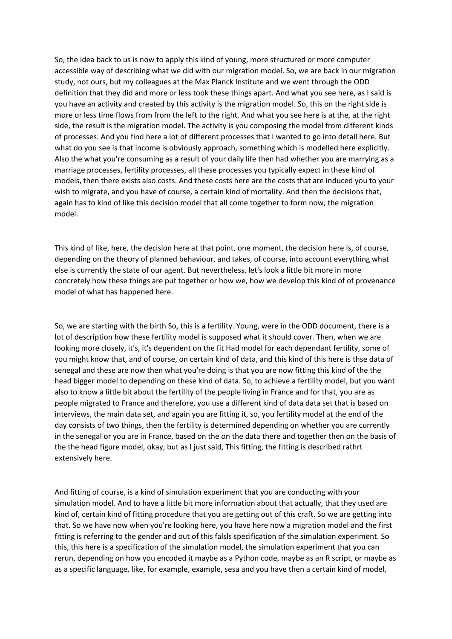So, the idea back to us is now to apply this kind of young, more structured or more computer accessible way of describing what we did with our migration model. So, we are back in our migration study, not ours, but my colleagues at the Max Planck Institute and we went through the ODD definition that they did and more or less took these things apart. And what you see here, as I said is you have an activity and created by this activity is the migration model. So, this on the right side is more or less time flows from from the left to the right. And what you see here is at the, at the right side, the result is the migration model. The activity is you composing the model from different kinds of processes. And you find here a lot of different processes that I wanted to go into detail here. But what do you see is that income is obviously approach, something which is modelled here explicitly. Also the what you're consuming as a result of your daily life then had whether you are marrying as a marriage processes, fertility processes, all these processes you typically expect in these kind of models, then there exists also costs. And these costs here are the costs that are induced you to your wish to migrate, and you have of course, a certain kind of mortality. And then the decisions that, again has to kind of like this decision model that all come together to form now, the migration model.

This kind of like, here, the decision here at that point, one moment, the decision here is, of course, depending on the theory of planned behaviour, and takes, of course, into account everything what else is currently the state of our agent. But nevertheless, let's look a little bit more in more concretely how these things are put together or how we, how we develop this kind of of provenance model of what has happened here.

So, we are starting with the birth So, this is a fertility. Young, were in the ODD document, there is a lot of description how these fertility model is supposed what it should cover. Then, when we are looking more closely, it's, it's dependent on the fit Had model for each dependant fertility, some of you might know that, and of course, on certain kind of data, and this kind of this here is thse data of senegal and these are now then what you're doing is that you are now fitting this kind of the the head bigger model to depending on these kind of data. So, to achieve a fertility model, but you want also to know a little bit about the fertility of the people living in France and for that, you are as people migrated to France and therefore, you use a different kind of data data set that is based on interviews, the main data set, and again you are fitting it, so, you fertility model at the end of the day consists of two things, then the fertility is determined depending on whether you are currently in the senegal or you are in France, based on the on the data there and together then on the basis of the the head figure model, okay, but as I just said, This fitting, the fitting is described rathrt extensively here.

And fitting of course, is a kind of simulation experiment that you are conducting with your simulation model. And to have a little bit more information about that actually, that they used are kind of, certain kind of fitting procedure that you are getting out of this craft. So we are getting into that. So we have now when you're looking here, you have here now a migration model and the first fitting is referring to the gender and out of this falsls specification of the simulation experiment. So this, this here is a specification of the simulation model, the simulation experiment that you can rerun, depending on how you encoded it maybe as a Python code, maybe as an R script, or maybe as as a specific language, like, for example, example, sesa and you have then a certain kind of model,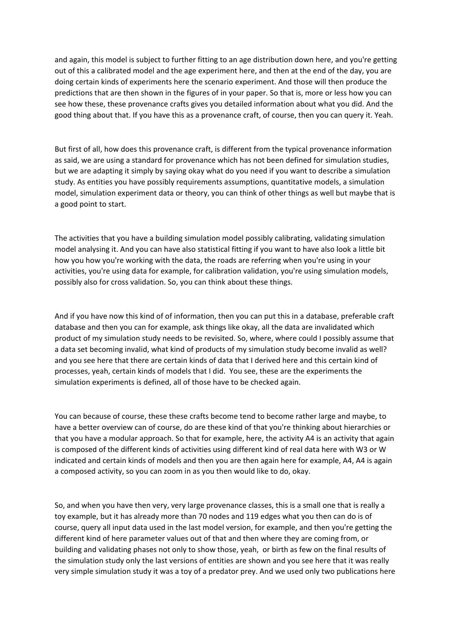and again, this model is subject to further fitting to an age distribution down here, and you're getting out of this a calibrated model and the age experiment here, and then at the end of the day, you are doing certain kinds of experiments here the scenario experiment. And those will then produce the predictions that are then shown in the figures of in your paper. So that is, more or less how you can see how these, these provenance crafts gives you detailed information about what you did. And the good thing about that. If you have this as a provenance craft, of course, then you can query it. Yeah.

But first of all, how does this provenance craft, is different from the typical provenance information as said, we are using a standard for provenance which has not been defined for simulation studies, but we are adapting it simply by saying okay what do you need if you want to describe a simulation study. As entities you have possibly requirements assumptions, quantitative models, a simulation model, simulation experiment data or theory, you can think of other things as well but maybe that is a good point to start.

The activities that you have a building simulation model possibly calibrating, validating simulation model analysing it. And you can have also statistical fitting if you want to have also look a little bit how you how you're working with the data, the roads are referring when you're using in your activities, you're using data for example, for calibration validation, you're using simulation models, possibly also for cross validation. So, you can think about these things.

And if you have now this kind of of information, then you can put this in a database, preferable craft database and then you can for example, ask things like okay, all the data are invalidated which product of my simulation study needs to be revisited. So, where, where could I possibly assume that a data set becoming invalid, what kind of products of my simulation study become invalid as well? and you see here that there are certain kinds of data that I derived here and this certain kind of processes, yeah, certain kinds of models that I did. You see, these are the experiments the simulation experiments is defined, all of those have to be checked again.

You can because of course, these these crafts become tend to become rather large and maybe, to have a better overview can of course, do are these kind of that you're thinking about hierarchies or that you have a modular approach. So that for example, here, the activity A4 is an activity that again is composed of the different kinds of activities using different kind of real data here with W3 or W indicated and certain kinds of models and then you are then again here for example, A4, A4 is again a composed activity, so you can zoom in as you then would like to do, okay.

So, and when you have then very, very large provenance classes, this is a small one that is really a toy example, but it has already more than 70 nodes and 119 edges what you then can do is of course, query all input data used in the last model version, for example, and then you're getting the different kind of here parameter values out of that and then where they are coming from, or building and validating phases not only to show those, yeah, or birth as few on the final results of the simulation study only the last versions of entities are shown and you see here that it was really very simple simulation study it was a toy of a predator prey. And we used only two publications here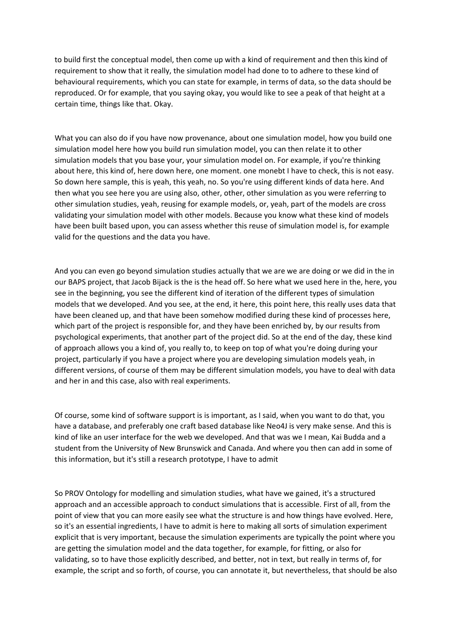to build first the conceptual model, then come up with a kind of requirement and then this kind of requirement to show that it really, the simulation model had done to to adhere to these kind of behavioural requirements, which you can state for example, in terms of data, so the data should be reproduced. Or for example, that you saying okay, you would like to see a peak of that height at a certain time, things like that. Okay.

What you can also do if you have now provenance, about one simulation model, how you build one simulation model here how you build run simulation model, you can then relate it to other simulation models that you base your, your simulation model on. For example, if you're thinking about here, this kind of, here down here, one moment. one monebt I have to check, this is not easy. So down here sample, this is yeah, this yeah, no. So you're using different kinds of data here. And then what you see here you are using also, other, other, other simulation as you were referring to other simulation studies, yeah, reusing for example models, or, yeah, part of the models are cross validating your simulation model with other models. Because you know what these kind of models have been built based upon, you can assess whether this reuse of simulation model is, for example valid for the questions and the data you have.

And you can even go beyond simulation studies actually that we are we are doing or we did in the in our BAPS project, that Jacob Bijack is the is the head off. So here what we used here in the, here, you see in the beginning, you see the different kind of iteration of the different types of simulation models that we developed. And you see, at the end, it here, this point here, this really uses data that have been cleaned up, and that have been somehow modified during these kind of processes here, which part of the project is responsible for, and they have been enriched by, by our results from psychological experiments, that another part of the project did. So at the end of the day, these kind of approach allows you a kind of, you really to, to keep on top of what you're doing during your project, particularly if you have a project where you are developing simulation models yeah, in different versions, of course of them may be different simulation models, you have to deal with data and her in and this case, also with real experiments.

Of course, some kind of software support is is important, as I said, when you want to do that, you have a database, and preferably one craft based database like Neo4J is very make sense. And this is kind of like an user interface for the web we developed. And that was we I mean, Kai Budda and a student from the University of New Brunswick and Canada. And where you then can add in some of this information, but it's still a research prototype, I have to admit

So PROV Ontology for modelling and simulation studies, what have we gained, it's a structured approach and an accessible approach to conduct simulations that is accessible. First of all, from the point of view that you can more easily see what the structure is and how things have evolved. Here, so it's an essential ingredients, I have to admit is here to making all sorts of simulation experiment explicit that is very important, because the simulation experiments are typically the point where you are getting the simulation model and the data together, for example, for fitting, or also for validating, so to have those explicitly described, and better, not in text, but really in terms of, for example, the script and so forth, of course, you can annotate it, but nevertheless, that should be also